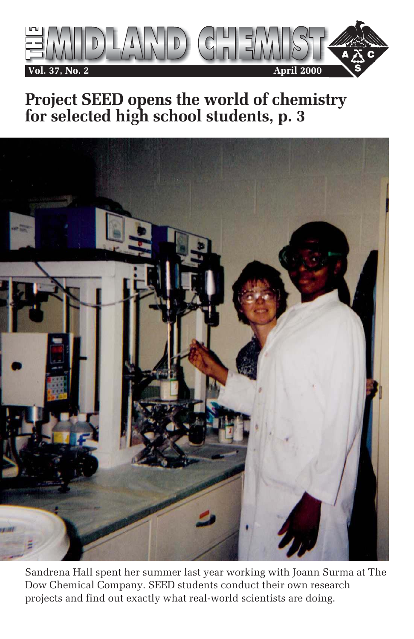

## **Project SEED opens the world of chemistry for selected high school students, p. 3**



Sandrena Hall spent her summer last year working with Joann Surma at The Dow Chemical Company. SEED students conduct their own research projects and find out exactly what real-world scientists are doing.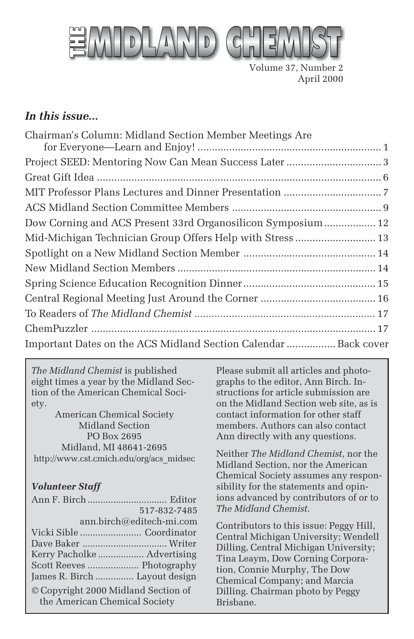

Volume 37, Number 2 April 2000

#### *In this issue...*

| Chairman's Column: Midland Section Member Meetings Are          |  |
|-----------------------------------------------------------------|--|
|                                                                 |  |
|                                                                 |  |
|                                                                 |  |
|                                                                 |  |
|                                                                 |  |
| Dow Corning and ACS Present 33rd Organosilicon Symposium 12     |  |
|                                                                 |  |
|                                                                 |  |
|                                                                 |  |
|                                                                 |  |
|                                                                 |  |
|                                                                 |  |
|                                                                 |  |
| Important Dates on the ACS Midland Section Calendar  Back cover |  |

*The Midland Chemist* is published eight times a year by the Midland Section of the American Chemical Society.

American Chemical Society Midland Section PO Box 2695 Midland, MI 48641-2695 http://www.cst.cmich.edu/org/acs\_midsec

#### *Volunteer Staff*

|                                                                      | 517-832-7485             |
|----------------------------------------------------------------------|--------------------------|
|                                                                      | ann.birch@editech-mi.com |
|                                                                      |                          |
|                                                                      |                          |
| Kerry Pacholke  Advertising                                          |                          |
|                                                                      |                          |
| James R. Birch  Layout design                                        |                          |
| © Copyright 2000 Midland Section of<br>the American Chemical Society |                          |

Please submit all articles and photographs to the editor, Ann Birch. Instructions for article submission are on the Midland Section web site, as is contact information for other staff members. Authors can also contact Ann directly with any questions.

Neither *The Midland Chemist*, nor the Midland Section, nor the American Chemical Society assumes any responsibility for the statements and opinions advanced by contributors of or to *The Midland Chemist*.

Contributors to this issue: Peggy Hill, Central Michigan University; Wendell Dilling, Central Michigan University; Tina Leaym, Dow Corning Corporation, Connie Murphy, The Dow Chemical Company; and Marcia Dilling. Chairman photo by Peggy Brisbane.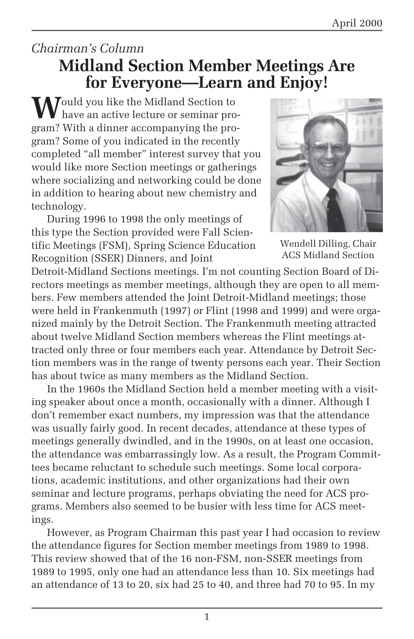### *Chairman's Column* **Midland Section Member Meetings Are for Everyone—Learn and Enjoy!**

**M**ould you like the Midland Section to have an active lecture or seminar program? With a dinner accompanying the program? Some of you indicated in the recently completed "all member" interest survey that you would like more Section meetings or gatherings where socializing and networking could be done in addition to hearing about new chemistry and technology.

During 1996 to 1998 the only meetings of this type the Section provided were Fall Scientific Meetings (FSM), Spring Science Education Recognition (SSER) Dinners, and Joint



Wendell Dilling, Chair ACS Midland Section

Detroit-Midland Sections meetings. I'm not counting Section Board of Directors meetings as member meetings, although they are open to all members. Few members attended the Joint Detroit-Midland meetings; those were held in Frankenmuth (1997) or Flint (1998 and 1999) and were organized mainly by the Detroit Section. The Frankenmuth meeting attracted about twelve Midland Section members whereas the Flint meetings attracted only three or four members each year. Attendance by Detroit Section members was in the range of twenty persons each year. Their Section has about twice as many members as the Midland Section.

In the 1960s the Midland Section held a member meeting with a visiting speaker about once a month, occasionally with a dinner. Although I don't remember exact numbers, my impression was that the attendance was usually fairly good. In recent decades, attendance at these types of meetings generally dwindled, and in the 1990s, on at least one occasion, the attendance was embarrassingly low. As a result, the Program Committees became reluctant to schedule such meetings. Some local corporations, academic institutions, and other organizations had their own seminar and lecture programs, perhaps obviating the need for ACS programs. Members also seemed to be busier with less time for ACS meetings.

However, as Program Chairman this past year I had occasion to review the attendance figures for Section member meetings from 1989 to 1998. This review showed that of the 16 non-FSM, non-SSER meetings from 1989 to 1995, only one had an attendance less than 10. Six meetings had an attendance of 13 to 20, six had 25 to 40, and three had 70 to 95. In my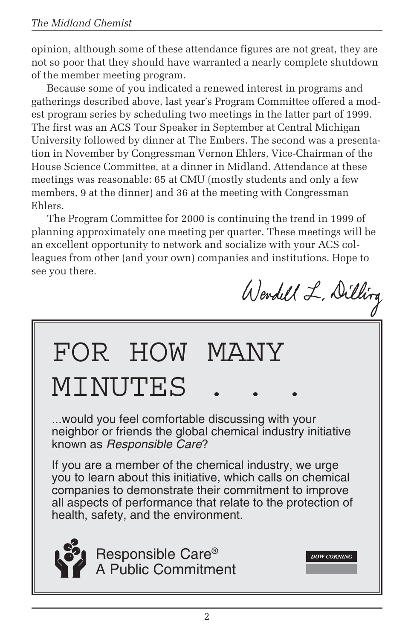opinion, although some of these attendance figures are not great, they are not so poor that they should have warranted a nearly complete shutdown of the member meeting program.

Because some of you indicated a renewed interest in programs and gatherings described above, last year's Program Committee offered a modest program series by scheduling two meetings in the latter part of 1999. The first was an ACS Tour Speaker in September at Central Michigan University followed by dinner at The Embers. The second was a presentation in November by Congressman Vernon Ehlers, Vice-Chairman of the House Science Committee, at a dinner in Midland. Attendance at these meetings was reasonable: 65 at CMU (mostly students and only a few members, 9 at the dinner) and 36 at the meeting with Congressman Ehlers.

The Program Committee for 2000 is continuing the trend in 1999 of planning approximately one meeting per quarter. These meetings will be an excellent opportunity to network and socialize with your ACS colleagues from other (and your own) companies and institutions. Hope to see you there.

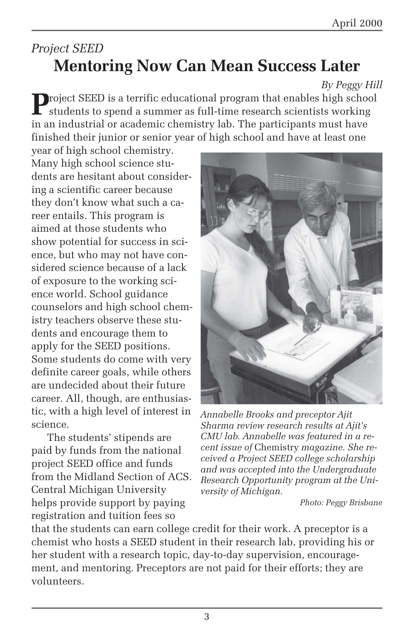## *Project SEED* **Mentoring Now Can Mean Success Later**

#### *By Peggy Hill*

**P**roject SEED is a terrific educational program that enables high school students to spend a summer as full-time research scientists working in an industrial or academic chemistry lab. The participants must have finished their junior or senior year of high school and have at least one

year of high school chemistry. Many high school science students are hesitant about considering a scientific career because they don't know what such a career entails. This program is aimed at those students who show potential for success in science, but who may not have considered science because of a lack of exposure to the working science world. School guidance counselors and high school chemistry teachers observe these students and encourage them to apply for the SEED positions. Some students do come with very definite career goals, while others are undecided about their future career. All, though, are enthusiastic, with a high level of interest in science.

The students' stipends are paid by funds from the national project SEED office and funds from the Midland Section of ACS. Central Michigan University helps provide support by paying registration and tuition fees so



*Annabelle Brooks and preceptor Ajit Sharma review research results at Ajit's CMU lab. Annabelle was featured in a recent issue of* Chemistry *magazine. She received a Project SEED college scholarship and was accepted into the Undergraduate Research Opportunity program at the University of Michigan.*

*Photo: Peggy Brisbane*

that the students can earn college credit for their work. A preceptor is a chemist who hosts a SEED student in their research lab, providing his or her student with a research topic, day-to-day supervision, encouragement, and mentoring. Preceptors are not paid for their efforts; they are volunteers.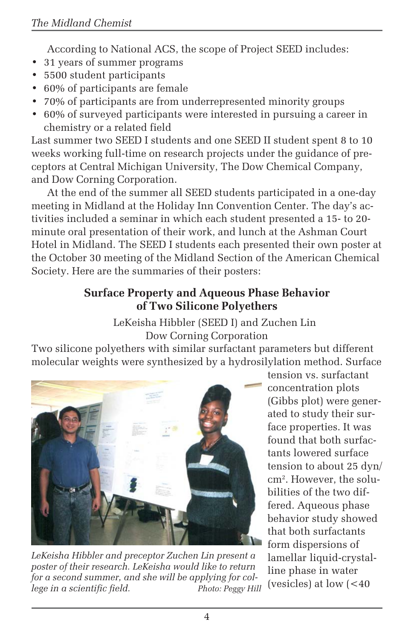According to National ACS, the scope of Project SEED includes:

- 31 years of summer programs
- 5500 student participants
- 60% of participants are female
- 70% of participants are from underrepresented minority groups
- 60% of surveyed participants were interested in pursuing a career in chemistry or a related field

Last summer two SEED I students and one SEED II student spent 8 to 10 weeks working full-time on research projects under the guidance of preceptors at Central Michigan University, The Dow Chemical Company, and Dow Corning Corporation.

At the end of the summer all SEED students participated in a one-day meeting in Midland at the Holiday Inn Convention Center. The day's activities included a seminar in which each student presented a 15- to 20 minute oral presentation of their work, and lunch at the Ashman Court Hotel in Midland. The SEED I students each presented their own poster at the October 30 meeting of the Midland Section of the American Chemical Society. Here are the summaries of their posters:

#### **Surface Property and Aqueous Phase Behavior of Two Silicone Polyethers**

LeKeisha Hibbler (SEED I) and Zuchen Lin Dow Corning Corporation

Two silicone polyethers with similar surfactant parameters but different molecular weights were synthesized by a hydrosilylation method. Surface



*LeKeisha Hibbler and preceptor Zuchen Lin present a poster of their research. LeKeisha would like to return for a second summer, and she will be applying for college in a scientific field. Photo: Peggy Hill*

tension vs. surfactant concentration plots (Gibbs plot) were generated to study their surface properties. It was found that both surfactants lowered surface tension to about 25 dyn/ cm2 . However, the solubilities of the two differed. Aqueous phase behavior study showed that both surfactants form dispersions of lamellar liquid-crystalline phase in water (vesicles) at low  $\leq 40$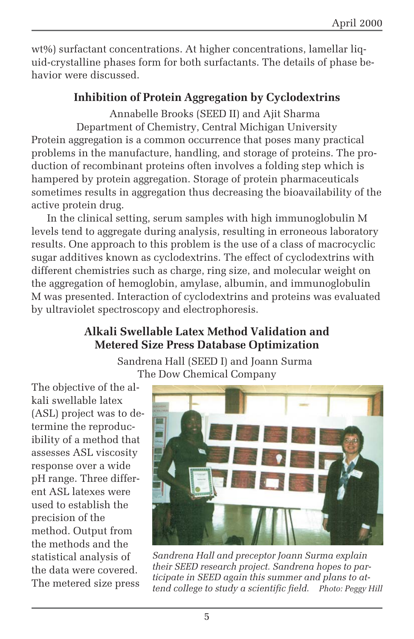wt%) surfactant concentrations. At higher concentrations, lamellar liquid-crystalline phases form for both surfactants. The details of phase behavior were discussed.

#### **Inhibition of Protein Aggregation by Cyclodextrins**

Annabelle Brooks (SEED II) and Ajit Sharma Department of Chemistry, Central Michigan University Protein aggregation is a common occurrence that poses many practical problems in the manufacture, handling, and storage of proteins. The production of recombinant proteins often involves a folding step which is hampered by protein aggregation. Storage of protein pharmaceuticals sometimes results in aggregation thus decreasing the bioavailability of the active protein drug.

In the clinical setting, serum samples with high immunoglobulin M levels tend to aggregate during analysis, resulting in erroneous laboratory results. One approach to this problem is the use of a class of macrocyclic sugar additives known as cyclodextrins. The effect of cyclodextrins with different chemistries such as charge, ring size, and molecular weight on the aggregation of hemoglobin, amylase, albumin, and immunoglobulin M was presented. Interaction of cyclodextrins and proteins was evaluated by ultraviolet spectroscopy and electrophoresis.

#### **Alkali Swellable Latex Method Validation and Metered Size Press Database Optimization**

Sandrena Hall (SEED I) and Joann Surma The Dow Chemical Company

The objective of the alkali swellable latex (ASL) project was to determine the reproducibility of a method that assesses ASL viscosity response over a wide pH range. Three different ASL latexes were used to establish the precision of the method. Output from the methods and the statistical analysis of the data were covered. The metered size press



*Sandrena Hall and preceptor Joann Surma explain their SEED research project. Sandrena hopes to participate in SEED again this summer and plans to attend college to study a scientific field. Photo: Peggy Hill*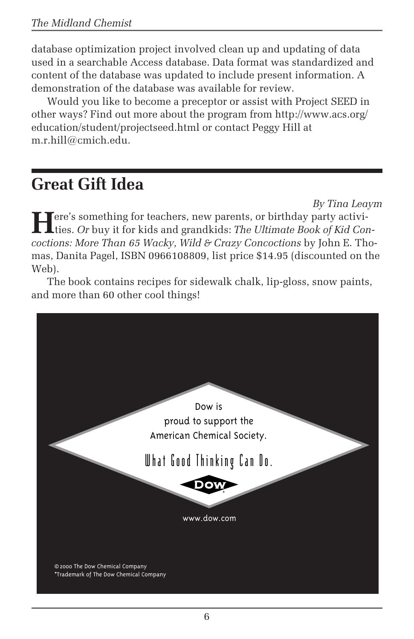database optimization project involved clean up and updating of data used in a searchable Access database. Data format was standardized and content of the database was updated to include present information. A demonstration of the database was available for review.

Would you like to become a preceptor or assist with Project SEED in other ways? Find out more about the program from http://www.acs.org/ education/student/projectseed.html or contact Peggy Hill at m.r.hill@cmich.edu.

# **Great Gift Idea**

*By Tina Leaym*

**Here's something for teachers, new parents, or birthday party activi-**<br>ties. *Or* buy it for kids and grandkids: *The Ultimate Book of Kid Concoctions: More Than 65 Wacky, Wild & Crazy Concoctions* by John E. Thomas, Danita Pagel, ISBN 0966108809, list price \$14.95 (discounted on the Web).

The book contains recipes for sidewalk chalk, lip-gloss, snow paints, and more than 60 other cool things!

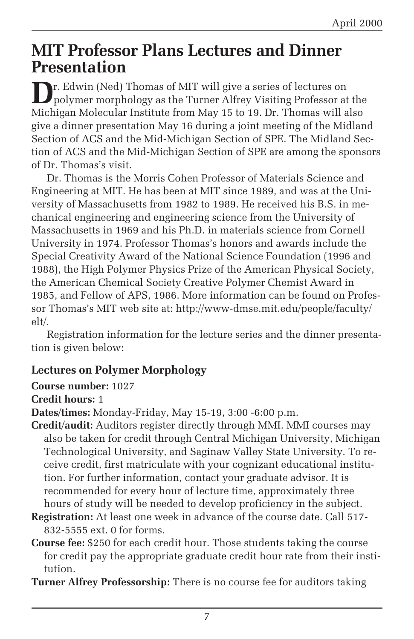### **MIT Professor Plans Lectures and Dinner Presentation**

**D**r. Edwin (Ned) Thomas of MIT will give a series of lectures on polymer morphology as the Turner Alfrey Visiting Professor at the Michigan Molecular Institute from May 15 to 19. Dr. Thomas will also give a dinner presentation May 16 during a joint meeting of the Midland Section of ACS and the Mid-Michigan Section of SPE. The Midland Section of ACS and the Mid-Michigan Section of SPE are among the sponsors of Dr. Thomas's visit.

Dr. Thomas is the Morris Cohen Professor of Materials Science and Engineering at MIT. He has been at MIT since 1989, and was at the University of Massachusetts from 1982 to 1989. He received his B.S. in mechanical engineering and engineering science from the University of Massachusetts in 1969 and his Ph.D. in materials science from Cornell University in 1974. Professor Thomas's honors and awards include the Special Creativity Award of the National Science Foundation (1996 and 1988), the High Polymer Physics Prize of the American Physical Society, the American Chemical Society Creative Polymer Chemist Award in 1985, and Fellow of APS, 1986. More information can be found on Professor Thomas's MIT web site at: http://www-dmse.mit.edu/people/faculty/ elt/.

Registration information for the lecture series and the dinner presentation is given below:

#### **Lectures on Polymer Morphology**

#### **Course number:** 1027

#### **Credit hours:** 1

**Dates/times:** Monday-Friday, May 15-19, 3:00 -6:00 p.m.

- **Credit/audit:** Auditors register directly through MMI. MMI courses may also be taken for credit through Central Michigan University, Michigan Technological University, and Saginaw Valley State University. To receive credit, first matriculate with your cognizant educational institution. For further information, contact your graduate advisor. It is recommended for every hour of lecture time, approximately three hours of study will be needed to develop proficiency in the subject.
- **Registration:** At least one week in advance of the course date. Call 517- 832-5555 ext. 0 for forms.
- **Course fee:** \$250 for each credit hour. Those students taking the course for credit pay the appropriate graduate credit hour rate from their institution.

**Turner Alfrey Professorship:** There is no course fee for auditors taking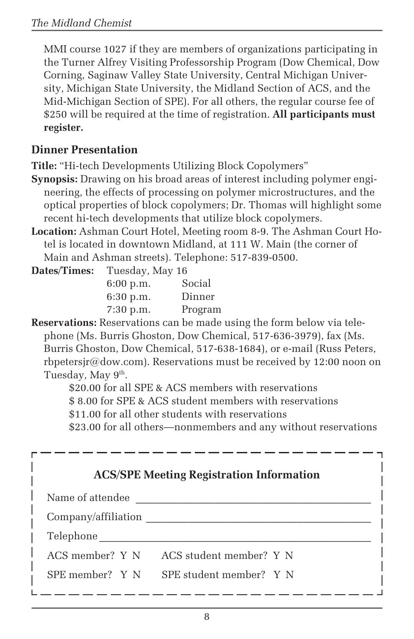MMI course 1027 if they are members of organizations participating in the Turner Alfrey Visiting Professorship Program (Dow Chemical, Dow Corning, Saginaw Valley State University, Central Michigan University, Michigan State University, the Midland Section of ACS, and the Mid-Michigan Section of SPE). For all others, the regular course fee of \$250 will be required at the time of registration. **All participants must register.**

#### **Dinner Presentation**

**Title:** "Hi-tech Developments Utilizing Block Copolymers"

- **Synopsis:** Drawing on his broad areas of interest including polymer engineering, the effects of processing on polymer microstructures, and the optical properties of block copolymers; Dr. Thomas will highlight some recent hi-tech developments that utilize block copolymers.
- **Location:** Ashman Court Hotel, Meeting room 8-9. The Ashman Court Hotel is located in downtown Midland, at 111 W. Main (the corner of Main and Ashman streets). Telephone: 517-839-0500.

| Dates/Times: | Tuesday, May 16 |         |  |
|--------------|-----------------|---------|--|
|              | 6:00 p.m.       | Social  |  |
|              | $6:30$ p.m.     | Dinner  |  |
|              | $7:30$ p.m.     | Program |  |

**Reservations:** Reservations can be made using the form below via telephone (Ms. Burris Ghoston, Dow Chemical, 517-636-3979), fax (Ms. Burris Ghoston, Dow Chemical, 517-638-1684), or e-mail (Russ Peters, rbpetersir@dow.com). Reservations must be received by 12:00 noon on Tuesday, May 9<sup>th</sup>.

> \$20.00 for all SPE & ACS members with reservations \$ 8.00 for SPE & ACS student members with reservations

\$11.00 for all other students with reservations

\$23.00 for all others—nonmembers and any without reservations

| <b>ACS/SPE Meeting Registration Information</b> |                         |  |
|-------------------------------------------------|-------------------------|--|
| Name of attendee                                |                         |  |
| Company/affiliation                             |                         |  |
| Telephone                                       |                         |  |
| ACS member? Y N                                 | ACS student member? Y N |  |
| SPE member? Y N                                 | SPE student member? Y N |  |
|                                                 |                         |  |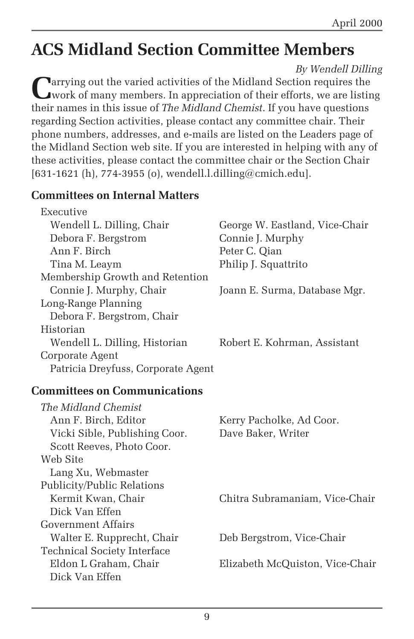# **ACS Midland Section Committee Members**

*By Wendell Dilling*

**Parrying out the varied activities of the Midland Section requires the** work of many members. In appreciation of their efforts, we are listing their names in this issue of *The Midland Chemist*. If you have questions regarding Section activities, please contact any committee chair. Their phone numbers, addresses, and e-mails are listed on the Leaders page of the Midland Section web site. If you are interested in helping with any of these activities, please contact the committee chair or the Section Chair [631-1621 (h), 774-3955 (o), wendell.l.dilling@cmich.edu].

#### **Committees on Internal Matters**

| Executive                          |                                |
|------------------------------------|--------------------------------|
| Wendell L. Dilling, Chair          | George W. Eastland, Vice-Chair |
| Debora F. Bergstrom                | Connie J. Murphy               |
| Ann F. Birch                       | Peter C. Qian                  |
| Tina M. Leaym                      | Philip J. Squattrito           |
| Membership Growth and Retention    |                                |
| Connie J. Murphy, Chair            | Joann E. Surma, Database Mgr.  |
| Long-Range Planning                |                                |
| Debora F. Bergstrom, Chair         |                                |
| Historian                          |                                |
| Wendell L. Dilling, Historian      | Robert E. Kohrman, Assistant   |
| Corporate Agent                    |                                |
| Patricia Dreyfuss, Corporate Agent |                                |

#### **Committees on Communications**

| The Midland Chemist                |                                 |
|------------------------------------|---------------------------------|
| Ann F. Birch, Editor               | Kerry Pacholke, Ad Coor.        |
| Vicki Sible, Publishing Coor.      | Dave Baker, Writer              |
| Scott Reeves, Photo Coor.          |                                 |
| Web Site                           |                                 |
| Lang Xu, Webmaster                 |                                 |
| Publicity/Public Relations         |                                 |
| Kermit Kwan, Chair                 | Chitra Subramaniam, Vice-Chair  |
| Dick Van Effen                     |                                 |
| Government Affairs                 |                                 |
| Walter E. Rupprecht, Chair         | Deb Bergstrom, Vice-Chair       |
| <b>Technical Society Interface</b> |                                 |
| Eldon L Graham, Chair              | Elizabeth McQuiston, Vice-Chair |
| Dick Van Effen                     |                                 |
|                                    |                                 |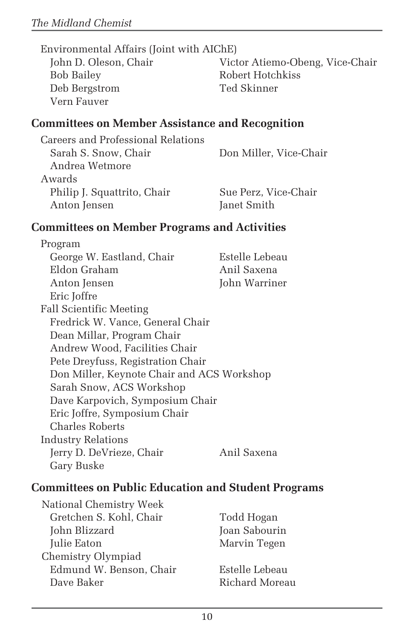Bob Bailey Robert Hotchkiss Deb Bergstrom Ted Skinner Vern Fauver

John D. Oleson, Chair Victor Atiemo-Obeng, Vice-Chair

#### **Committees on Member Assistance and Recognition**

| Careers and Professional Relations |                        |
|------------------------------------|------------------------|
| Sarah S. Snow, Chair               | Don Miller, Vice-Chair |
| Andrea Wetmore                     |                        |
| Awards                             |                        |
| Philip J. Squattrito, Chair        | Sue Perz, Vice-Chair   |
| Anton Jensen                       | Janet Smith            |
|                                    |                        |

#### **Committees on Member Programs and Activities**

Program George W. Eastland, Chair Estelle Lebeau Eldon Graham Anil Saxena Anton Jensen John Warriner Eric Joffre Fall Scientific Meeting Fredrick W. Vance, General Chair Dean Millar, Program Chair Andrew Wood, Facilities Chair Pete Dreyfuss, Registration Chair Don Miller, Keynote Chair and ACS Workshop Sarah Snow, ACS Workshop Dave Karpovich, Symposium Chair Eric Joffre, Symposium Chair Charles Roberts Industry Relations Jerry D. DeVrieze, Chair Anil Saxena Gary Buske

#### **Committees on Public Education and Student Programs**

| National Chemistry Week |  |  |
|-------------------------|--|--|
| Gretchen S. Kohl, Chair |  |  |
| John Blizzard           |  |  |
| Julie Eaton             |  |  |
| Chemistry Olympiad      |  |  |
| Edmund W. Benson, Chair |  |  |
| Dave Baker              |  |  |

Todd Hogan Joan Sabourin Marvin Tegen

Estelle Lebeau Richard Moreau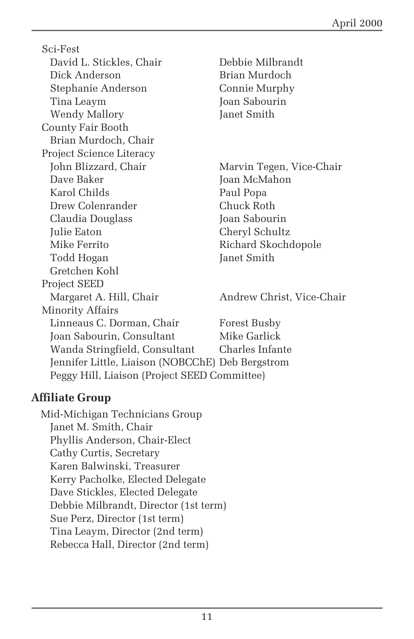Sci-Fest David L. Stickles, Chair Debbie Milbrandt Dick Anderson Brian Murdoch Stephanie Anderson Connie Murphy Tina Leaym Joan Sabourin Wendy Mallory **Janet Smith** County Fair Booth Brian Murdoch, Chair Project Science Literacy John Blizzard, Chair Marvin Tegen, Vice-Chair Dave Baker Joan McMahon Karol Childs Paul Popa Drew Colenrander Chuck Roth Claudia Douglass Joan Sabourin Julie Eaton Cheryl Schultz Mike Ferrito Richard Skochdopole Todd Hogan Janet Smith Gretchen Kohl Project SEED Margaret A. Hill, Chair **Andrew Christ, Vice-Chair** Minority Affairs Linneaus C. Dorman, Chair Forest Busby Joan Sabourin, Consultant Mike Garlick Wanda Stringfield, Consultant Charles Infante Jennifer Little, Liaison (NOBCChE) Deb Bergstrom Peggy Hill, Liaison (Project SEED Committee)

#### **Affiliate Group**

Mid-Michigan Technicians Group Janet M. Smith, Chair Phyllis Anderson, Chair-Elect Cathy Curtis, Secretary Karen Balwinski, Treasurer Kerry Pacholke, Elected Delegate Dave Stickles, Elected Delegate Debbie Milbrandt, Director (1st term) Sue Perz, Director (1st term) Tina Leaym, Director (2nd term) Rebecca Hall, Director (2nd term)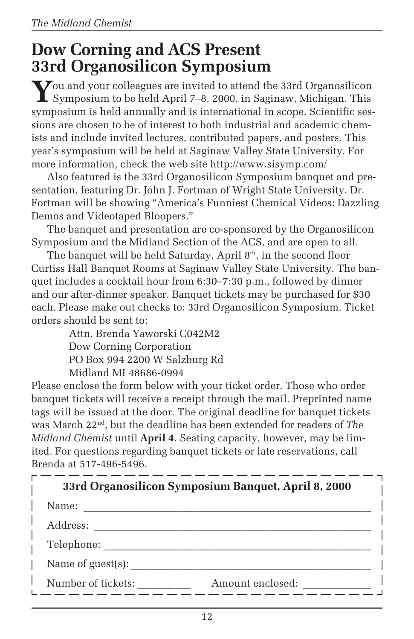## **Dow Corning and ACS Present 33rd Organosilicon Symposium**

You and your colleagues are invited to attend the 33rd Organosilicon<br>Symposium to be held April 7–8, 2000, in Saginaw, Michigan. This symposium is held annually and is international in scope. Scientific sessions are chosen to be of interest to both industrial and academic chemists and include invited lectures, contributed papers, and posters. This year's symposium will be held at Saginaw Valley State University. For more information, check the web site http://www.sisymp.com/

Also featured is the 33rd Organosilicon Symposium banquet and presentation, featuring Dr. John J. Fortman of Wright State University. Dr. Fortman will be showing "America's Funniest Chemical Videos: Dazzling Demos and Videotaped Bloopers."

The banquet and presentation are co-sponsored by the Organosilicon Symposium and the Midland Section of the ACS, and are open to all.

The banquet will be held Saturday, April  $8<sup>th</sup>$ , in the second floor Curtiss Hall Banquet Rooms at Saginaw Valley State University. The banquet includes a cocktail hour from 6:30–7:30 p.m., followed by dinner and our after-dinner speaker. Banquet tickets may be purchased for \$30 each. Please make out checks to: 33rd Organosilicon Symposium. Ticket orders should be sent to:

> Attn. Brenda Yaworski C042M2 Dow Corning Corporation PO Box 994 2200 W Salzburg Rd Midland MI 48686-0994

Please enclose the form below with your ticket order. Those who order banquet tickets will receive a receipt through the mail. Preprinted name tags will be issued at the door. The original deadline for banquet tickets was March 22nd, but the deadline has been extended for readers of *The Midland Chemist* until **April 4**. Seating capacity, however, may be limited. For questions regarding banquet tickets or late reservations, call Brenda at 517-496-5496.

| 33rd Organosilicon Symposium Banquet, April 8, 2000 |                  |  |
|-----------------------------------------------------|------------------|--|
| Name:                                               |                  |  |
| Address:                                            |                  |  |
| Telephone:                                          |                  |  |
| Name of $guest(s)$ :                                |                  |  |
| Number of tickets:                                  | Amount enclosed: |  |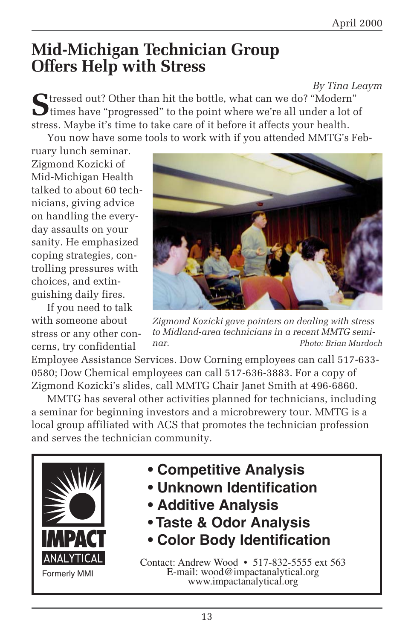## **Mid-Michigan Technician Group Offers Help with Stress**

*By Tina Leaym*

**S**tressed out? Other than hit the bottle, what can we do? "Modern" times have "progressed" to the point where we're all under a lot of stress. Maybe it's time to take care of it before it affects your health. You now have some tools to work with if you attended MMTG's Feb-

ruary lunch seminar. Zigmond Kozicki of Mid-Michigan Health talked to about 60 technicians, giving advice on handling the everyday assaults on your sanity. He emphasized coping strategies, controlling pressures with choices, and extinguishing daily fires.

If you need to talk with someone about stress or any other concerns, try confidential



*Zigmond Kozicki gave pointers on dealing with stress to Midland-area technicians in a recent MMTG seminar. Photo: Brian Murdoch*

Employee Assistance Services. Dow Corning employees can call 517-633- 0580; Dow Chemical employees can call 517-636-3883. For a copy of Zigmond Kozicki's slides, call MMTG Chair Janet Smith at 496-6860.

MMTG has several other activities planned for technicians, including a seminar for beginning investors and a microbrewery tour. MMTG is a local group affiliated with ACS that promotes the technician profession and serves the technician community.



- **Competitive Analysis**
- **Unknown Identification**
- **Additive Analysis**
- **Taste & Odor Analysis**
- **Color Body Identification**

Contact: Andrew Wood • 517-832-5555 ext 563 E-mail: wood@impactanalytical.org www.impactanalytical.org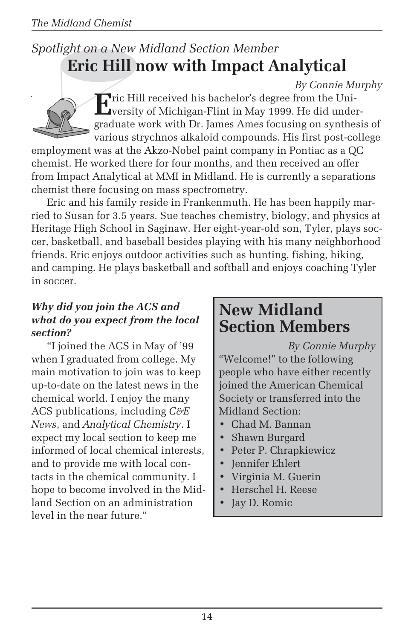### *Spotlight on a New Midland Section Member* **Eric Hill now with Impact Analytical**

#### *By Connie Murphy*



**E**ric Hill received his bachelor's degree from the University of Michigan-Flint in May 1999. He did undergraduate work with Dr. James Ames focusing on synthesis of various strychnos alkaloid compounds. His first post-college

employment was at the Akzo-Nobel paint company in Pontiac as a QC chemist. He worked there for four months, and then received an offer from Impact Analytical at MMI in Midland. He is currently a separations chemist there focusing on mass spectrometry.

Eric and his family reside in Frankenmuth. He has been happily married to Susan for 3.5 years. Sue teaches chemistry, biology, and physics at Heritage High School in Saginaw. Her eight-year-old son, Tyler, plays soccer, basketball, and baseball besides playing with his many neighborhood friends. Eric enjoys outdoor activities such as hunting, fishing, hiking, and camping. He plays basketball and softball and enjoys coaching Tyler in soccer.

#### *Why did you join the ACS and what do you expect from the local section?*

"I joined the ACS in May of '99 when I graduated from college. My main motivation to join was to keep up-to-date on the latest news in the chemical world. I enjoy the many ACS publications, including *C&E News*, and *Analytical Chemistry*. I expect my local section to keep me informed of local chemical interests, and to provide me with local contacts in the chemical community. I hope to become involved in the Midland Section on an administration level in the near future."

### **New Midland Section Members**

*By Connie Murphy* "Welcome!" to the following people who have either recently joined the American Chemical Society or transferred into the Midland Section:

- Chad M. Bannan
- Shawn Burgard
- Peter P. Chrapkiewicz
- Jennifer Ehlert
- Virginia M. Guerin
- Herschel H. Reese
- Jay D. Romic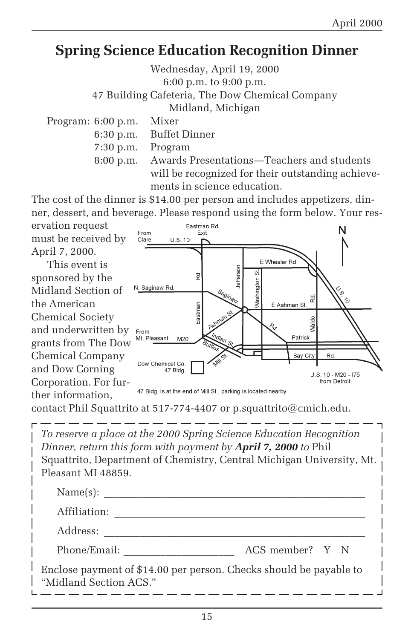### **Spring Science Education Recognition Dinner**

Wednesday, April 19, 2000 6:00 p.m. to 9:00 p.m.

47 Building Cafeteria, The Dow Chemical Company

Midland, Michigan

Program: 6:00 p.m. Mixer

6:30 p.m. Buffet Dinner

7:30 p.m. Program

8:00 p.m. Awards Presentations—Teachers and students will be recognized for their outstanding achievements in science education.

The cost of the dinner is \$14.00 per person and includes appetizers, dinner, dessert, and beverage. Please respond using the form below. Your res-



contact Phil Squattrito at 517-774-4407 or p.squattrito@cmich.edu.

*To reserve a place at the 2000 Spring Science Education Recognition Dinner, return this form with payment by April 7, 2000 to* Phil Squattrito, Department of Chemistry, Central Michigan University, Mt. Pleasant MI 48859.  $Name(s):$ Affiliation: \_\_\_\_\_\_\_\_\_\_\_\_\_\_\_\_\_\_\_\_\_\_\_\_\_\_\_\_\_\_\_\_\_\_\_\_\_\_\_\_\_\_\_\_\_\_\_\_ Address: \_\_\_\_\_\_\_\_\_\_\_\_\_\_\_\_\_\_\_\_\_\_\_\_\_\_\_\_\_\_\_\_\_\_\_\_\_\_\_\_\_\_\_\_\_\_\_\_\_\_

Phone/Email: \_\_\_\_\_\_\_\_\_\_\_\_\_\_\_\_\_\_\_\_\_ ACS member? Y N

Enclose payment of \$14.00 per person. Checks should be payable to "Midland Section ACS."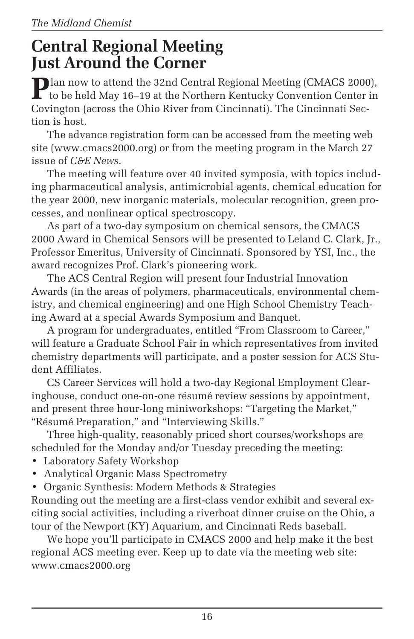## **Central Regional Meeting Just Around the Corner**

**P**lan now to attend the 32nd Central Regional Meeting (CMACS 2000),  $\blacksquare$  to be held May 16–19 at the Northern Kentucky Convention Center in Covington (across the Ohio River from Cincinnati). The Cincinnati Section is host.

The advance registration form can be accessed from the meeting web site (www.cmacs2000.org) or from the meeting program in the March 27 issue of *C&E News*.

The meeting will feature over 40 invited symposia, with topics including pharmaceutical analysis, antimicrobial agents, chemical education for the year 2000, new inorganic materials, molecular recognition, green processes, and nonlinear optical spectroscopy.

As part of a two-day symposium on chemical sensors, the CMACS 2000 Award in Chemical Sensors will be presented to Leland C. Clark, Jr., Professor Emeritus, University of Cincinnati. Sponsored by YSI, Inc., the award recognizes Prof. Clark's pioneering work.

The ACS Central Region will present four Industrial Innovation Awards (in the areas of polymers, pharmaceuticals, environmental chemistry, and chemical engineering) and one High School Chemistry Teaching Award at a special Awards Symposium and Banquet.

A program for undergraduates, entitled "From Classroom to Career," will feature a Graduate School Fair in which representatives from invited chemistry departments will participate, and a poster session for ACS Student Affiliates.

CS Career Services will hold a two-day Regional Employment Clearinghouse, conduct one-on-one résumé review sessions by appointment, and present three hour-long miniworkshops: "Targeting the Market," "Résumé Preparation," and "Interviewing Skills."

Three high-quality, reasonably priced short courses/workshops are scheduled for the Monday and/or Tuesday preceding the meeting:

- Laboratory Safety Workshop
- Analytical Organic Mass Spectrometry
- Organic Synthesis: Modern Methods & Strategies

Rounding out the meeting are a first-class vendor exhibit and several exciting social activities, including a riverboat dinner cruise on the Ohio, a tour of the Newport (KY) Aquarium, and Cincinnati Reds baseball.

We hope you'll participate in CMACS 2000 and help make it the best regional ACS meeting ever. Keep up to date via the meeting web site: www.cmacs2000.org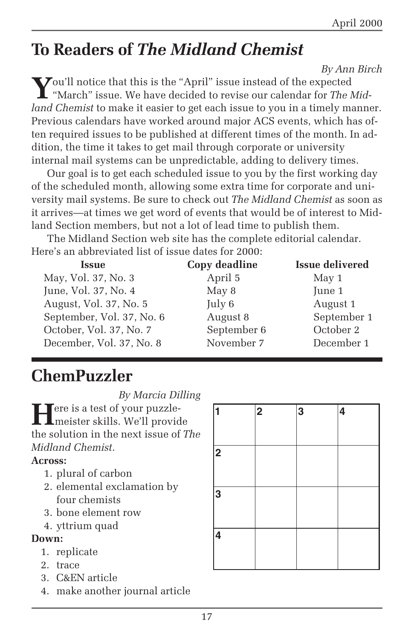# **To Readers of** *The Midland Chemist*

 *By Ann Birch*

**Y**ou'll notice that this is the "April" issue instead of the expected "March" issue. We have decided to revise our calendar for *The Midland Chemist* to make it easier to get each issue to you in a timely manner. Previous calendars have worked around major ACS events, which has often required issues to be published at different times of the month. In addition, the time it takes to get mail through corporate or university internal mail systems can be unpredictable, adding to delivery times.

Our goal is to get each scheduled issue to you by the first working day of the scheduled month, allowing some extra time for corporate and university mail systems. Be sure to check out *The Midland Chemist* as soon as it arrives—at times we get word of events that would be of interest to Midland Section members, but not a lot of lead time to publish them.

The Midland Section web site has the complete editorial calendar. Here's an abbreviated list of issue dates for 2000:

| <b>Issue</b>              | Copy deadline | <b>Issue delivered</b> |
|---------------------------|---------------|------------------------|
| May, Vol. 37, No. 3       | April 5       | May 1                  |
| June, Vol. 37, No. 4      | May 8         | June 1                 |
| August, Vol. 37, No. 5    | July 6        | August 1               |
| September, Vol. 37, No. 6 | August 8      | September 1            |
| October, Vol. 37, No. 7   | September 6   | October 2              |
| December, Vol. 37, No. 8  | November 7    | December 1             |

# **ChemPuzzler**

*By Marcia Dilling*

**Fere is a test of your puzzle**meister skills. We'll provide the solution in the next issue of *The Midland Chemist*.

#### **Across:**

- 1. plural of carbon
- 2. elemental exclamation by four chemists
- 3. bone element row
- 4. yttrium quad

#### **Down:**

- 1. replicate
- 2. trace
- 3. C&EN article
- 4. make another journal article

|   | $\overline{\mathbf{2}}$ | 3 | 4 |
|---|-------------------------|---|---|
| 2 |                         |   |   |
| 3 |                         |   |   |
| 4 |                         |   |   |